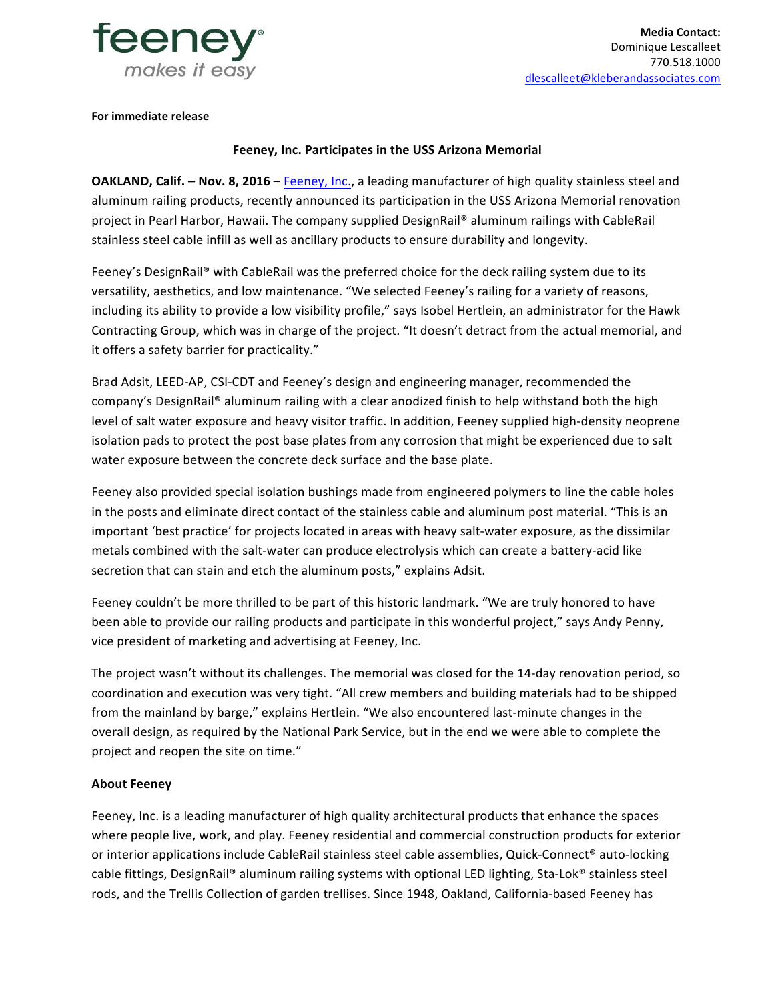

**For immediate release** 

## **Feeney, Inc. Participates in the USS Arizona Memorial**

**OAKLAND, Calif.** - Nov. 8, 2016 - Feeney, Inc., a leading manufacturer of high quality stainless steel and aluminum railing products, recently announced its participation in the USS Arizona Memorial renovation project in Pearl Harbor, Hawaii. The company supplied DesignRail® aluminum railings with CableRail stainless steel cable infill as well as ancillary products to ensure durability and longevity.

Feeney's DesignRail® with CableRail was the preferred choice for the deck railing system due to its versatility, aesthetics, and low maintenance. "We selected Feeney's railing for a variety of reasons, including its ability to provide a low visibility profile," says Isobel Hertlein, an administrator for the Hawk Contracting Group, which was in charge of the project. "It doesn't detract from the actual memorial, and it offers a safety barrier for practicality."

Brad Adsit, LEED-AP, CSI-CDT and Feeney's design and engineering manager, recommended the company's DesignRail® aluminum railing with a clear anodized finish to help withstand both the high level of salt water exposure and heavy visitor traffic. In addition, Feeney supplied high-density neoprene isolation pads to protect the post base plates from any corrosion that might be experienced due to salt water exposure between the concrete deck surface and the base plate.

Feeney also provided special isolation bushings made from engineered polymers to line the cable holes in the posts and eliminate direct contact of the stainless cable and aluminum post material. "This is an important 'best practice' for projects located in areas with heavy salt-water exposure, as the dissimilar metals combined with the salt-water can produce electrolysis which can create a battery-acid like secretion that can stain and etch the aluminum posts," explains Adsit.

Feeney couldn't be more thrilled to be part of this historic landmark. "We are truly honored to have been able to provide our railing products and participate in this wonderful project," says Andy Penny, vice president of marketing and advertising at Feeney, Inc.

The project wasn't without its challenges. The memorial was closed for the 14-day renovation period, so coordination and execution was very tight. "All crew members and building materials had to be shipped from the mainland by barge," explains Hertlein. "We also encountered last-minute changes in the overall design, as required by the National Park Service, but in the end we were able to complete the project and reopen the site on time."

## **About Feeney**

Feeney, Inc. is a leading manufacturer of high quality architectural products that enhance the spaces where people live, work, and play. Feeney residential and commercial construction products for exterior or interior applications include CableRail stainless steel cable assemblies, Quick-Connect® auto-locking cable fittings, DesignRail® aluminum railing systems with optional LED lighting, Sta-Lok® stainless steel rods, and the Trellis Collection of garden trellises. Since 1948, Oakland, California-based Feeney has